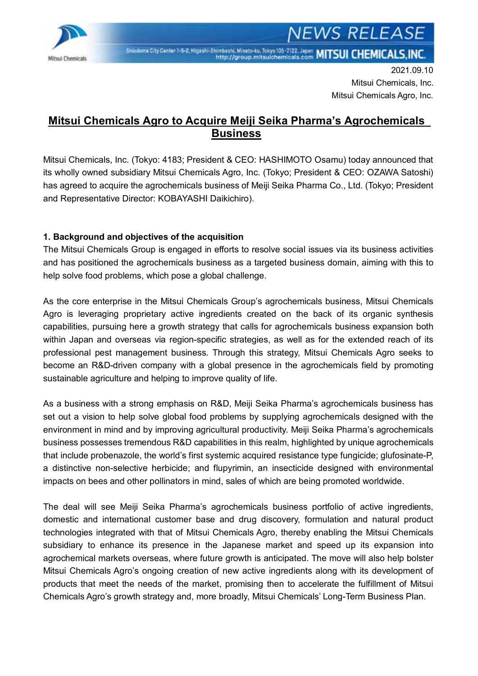

Shipdome City Center 1-5-2, Higashi-Shimbashi, Minato-ku, Tokye 105-7122, Japan MITSUI CHEMICALS, INC.

2021.09.10 Mitsui Chemicals, Inc. Mitsui Chemicals Agro, Inc.

EWS RELEASE

# **Mitsui Chemicals Agro to Acquire Meiji Seika Pharma's Agrochemicals Business**

Mitsui Chemicals, Inc. (Tokyo: 4183; President & CEO: HASHIMOTO Osamu) today announced that its wholly owned subsidiary Mitsui Chemicals Agro, Inc. (Tokyo; President & CEO: OZAWA Satoshi) has agreed to acquire the agrochemicals business of Meiji Seika Pharma Co., Ltd. (Tokyo; President and Representative Director: KOBAYASHI Daikichiro).

## **1. Background and objectives of the acquisition**

The Mitsui Chemicals Group is engaged in efforts to resolve social issues via its business activities and has positioned the agrochemicals business as a targeted business domain, aiming with this to help solve food problems, which pose a global challenge.

As the core enterprise in the Mitsui Chemicals Group's agrochemicals business, Mitsui Chemicals Agro is leveraging proprietary active ingredients created on the back of its organic synthesis capabilities, pursuing here a growth strategy that calls for agrochemicals business expansion both within Japan and overseas via region-specific strategies, as well as for the extended reach of its professional pest management business. Through this strategy, Mitsui Chemicals Agro seeks to become an R&D-driven company with a global presence in the agrochemicals field by promoting sustainable agriculture and helping to improve quality of life.

As a business with a strong emphasis on R&D, Meiji Seika Pharma's agrochemicals business has set out a vision to help solve global food problems by supplying agrochemicals designed with the environment in mind and by improving agricultural productivity. Meiji Seika Pharma's agrochemicals business possesses tremendous R&D capabilities in this realm, highlighted by unique agrochemicals that include probenazole, the world's first systemic acquired resistance type fungicide; glufosinate-P, a distinctive non-selective herbicide; and flupyrimin, an insecticide designed with environmental impacts on bees and other pollinators in mind, sales of which are being promoted worldwide.

The deal will see Meiji Seika Pharma's agrochemicals business portfolio of active ingredients, domestic and international customer base and drug discovery, formulation and natural product technologies integrated with that of Mitsui Chemicals Agro, thereby enabling the Mitsui Chemicals subsidiary to enhance its presence in the Japanese market and speed up its expansion into agrochemical markets overseas, where future growth is anticipated. The move will also help bolster Mitsui Chemicals Agro's ongoing creation of new active ingredients along with its development of products that meet the needs of the market, promising then to accelerate the fulfillment of Mitsui Chemicals Agro's growth strategy and, more broadly, Mitsui Chemicals' Long-Term Business Plan.